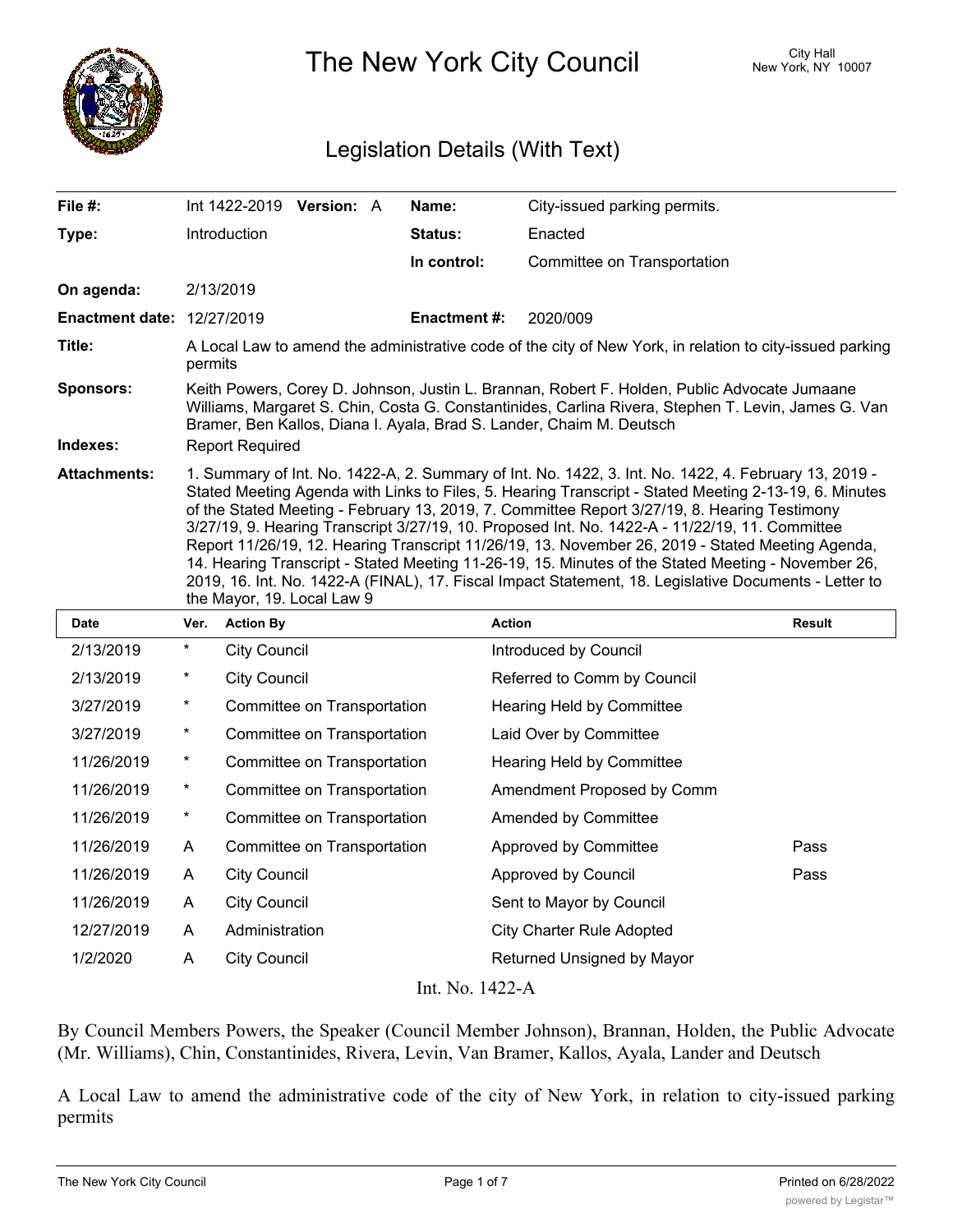

The New York City Council New York, NY 10007

## Legislation Details (With Text)

| File #:                           |                                                                                                                                                                                                                                                                                                                                                                                                                                                                                                                                                                                                                                                                                                                                                                  |                     | Int 1422-2019 <b>Version:</b> A |  | Name:               | City-issued parking permits. |               |  |
|-----------------------------------|------------------------------------------------------------------------------------------------------------------------------------------------------------------------------------------------------------------------------------------------------------------------------------------------------------------------------------------------------------------------------------------------------------------------------------------------------------------------------------------------------------------------------------------------------------------------------------------------------------------------------------------------------------------------------------------------------------------------------------------------------------------|---------------------|---------------------------------|--|---------------------|------------------------------|---------------|--|
| Type:                             |                                                                                                                                                                                                                                                                                                                                                                                                                                                                                                                                                                                                                                                                                                                                                                  | Introduction        |                                 |  | <b>Status:</b>      | Enacted                      |               |  |
|                                   |                                                                                                                                                                                                                                                                                                                                                                                                                                                                                                                                                                                                                                                                                                                                                                  |                     |                                 |  | In control:         | Committee on Transportation  |               |  |
| On agenda:                        |                                                                                                                                                                                                                                                                                                                                                                                                                                                                                                                                                                                                                                                                                                                                                                  | 2/13/2019           |                                 |  |                     |                              |               |  |
| <b>Enactment date: 12/27/2019</b> |                                                                                                                                                                                                                                                                                                                                                                                                                                                                                                                                                                                                                                                                                                                                                                  |                     |                                 |  | <b>Enactment #:</b> | 2020/009                     |               |  |
| Title:                            | A Local Law to amend the administrative code of the city of New York, in relation to city-issued parking<br>permits                                                                                                                                                                                                                                                                                                                                                                                                                                                                                                                                                                                                                                              |                     |                                 |  |                     |                              |               |  |
| <b>Sponsors:</b><br>Indexes:      | Keith Powers, Corey D. Johnson, Justin L. Brannan, Robert F. Holden, Public Advocate Jumaane<br>Williams, Margaret S. Chin, Costa G. Constantinides, Carlina Rivera, Stephen T. Levin, James G. Van<br>Bramer, Ben Kallos, Diana I. Ayala, Brad S. Lander, Chaim M. Deutsch<br><b>Report Required</b>                                                                                                                                                                                                                                                                                                                                                                                                                                                            |                     |                                 |  |                     |                              |               |  |
| <b>Attachments:</b>               | 1. Summary of Int. No. 1422-A, 2. Summary of Int. No. 1422, 3. Int. No. 1422, 4. February 13, 2019 -<br>Stated Meeting Agenda with Links to Files, 5. Hearing Transcript - Stated Meeting 2-13-19, 6. Minutes<br>of the Stated Meeting - February 13, 2019, 7. Committee Report 3/27/19, 8. Hearing Testimony<br>3/27/19, 9. Hearing Transcript 3/27/19, 10. Proposed Int. No. 1422-A - 11/22/19, 11. Committee<br>Report 11/26/19, 12. Hearing Transcript 11/26/19, 13. November 26, 2019 - Stated Meeting Agenda,<br>14. Hearing Transcript - Stated Meeting 11-26-19, 15. Minutes of the Stated Meeting - November 26,<br>2019, 16. Int. No. 1422-A (FINAL), 17. Fiscal Impact Statement, 18. Legislative Documents - Letter to<br>the Mayor, 19. Local Law 9 |                     |                                 |  |                     |                              |               |  |
| <b>Date</b>                       | Ver.                                                                                                                                                                                                                                                                                                                                                                                                                                                                                                                                                                                                                                                                                                                                                             | <b>Action By</b>    |                                 |  | <b>Action</b>       |                              | <b>Result</b> |  |
| 2/13/2019                         | $^\star$                                                                                                                                                                                                                                                                                                                                                                                                                                                                                                                                                                                                                                                                                                                                                         | <b>City Council</b> |                                 |  |                     | Introduced by Council        |               |  |

| 2/13/2019       | $\ast$   | City Council                | Introduced by Council            |      |  |  |  |  |
|-----------------|----------|-----------------------------|----------------------------------|------|--|--|--|--|
| 2/13/2019       | $\ast$   | <b>City Council</b>         | Referred to Comm by Council      |      |  |  |  |  |
| 3/27/2019       | $\ast$   | Committee on Transportation | Hearing Held by Committee        |      |  |  |  |  |
| 3/27/2019       | $^\star$ | Committee on Transportation | Laid Over by Committee           |      |  |  |  |  |
| 11/26/2019      | $\ast$   | Committee on Transportation | Hearing Held by Committee        |      |  |  |  |  |
| 11/26/2019      | $\ast$   | Committee on Transportation | Amendment Proposed by Comm       |      |  |  |  |  |
| 11/26/2019      | $^\star$ | Committee on Transportation | Amended by Committee             |      |  |  |  |  |
| 11/26/2019      | A        | Committee on Transportation | Approved by Committee            | Pass |  |  |  |  |
| 11/26/2019      | A        | <b>City Council</b>         | Approved by Council              | Pass |  |  |  |  |
| 11/26/2019      | A        | <b>City Council</b>         | Sent to Mayor by Council         |      |  |  |  |  |
| 12/27/2019      | A        | Administration              | <b>City Charter Rule Adopted</b> |      |  |  |  |  |
| 1/2/2020        | A        | <b>City Council</b>         | Returned Unsigned by Mayor       |      |  |  |  |  |
| Int. No. 1422-A |          |                             |                                  |      |  |  |  |  |

By Council Members Powers, the Speaker (Council Member Johnson), Brannan, Holden, the Public Advocate (Mr. Williams), Chin, Constantinides, Rivera, Levin, Van Bramer, Kallos, Ayala, Lander and Deutsch

A Local Law to amend the administrative code of the city of New York, in relation to city-issued parking permits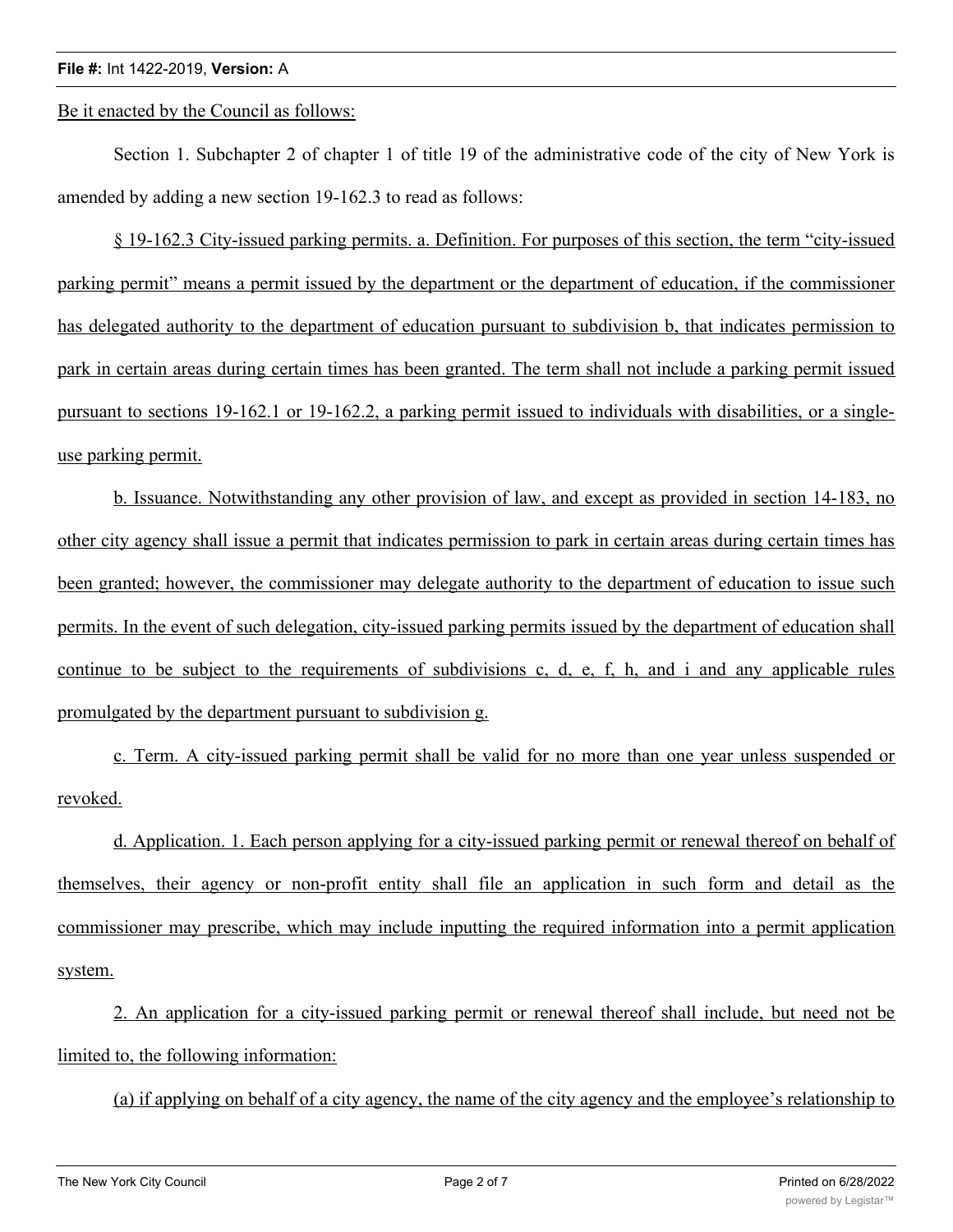## **File #:** Int 1422-2019, **Version:** A

Be it enacted by the Council as follows:

Section 1. Subchapter 2 of chapter 1 of title 19 of the administrative code of the city of New York is amended by adding a new section 19-162.3 to read as follows:

§ 19-162.3 City-issued parking permits. a. Definition. For purposes of this section, the term "city-issued parking permit" means a permit issued by the department or the department of education, if the commissioner has delegated authority to the department of education pursuant to subdivision b, that indicates permission to park in certain areas during certain times has been granted. The term shall not include a parking permit issued pursuant to sections 19-162.1 or 19-162.2, a parking permit issued to individuals with disabilities, or a singleuse parking permit.

b. Issuance. Notwithstanding any other provision of law, and except as provided in section 14-183, no other city agency shall issue a permit that indicates permission to park in certain areas during certain times has been granted; however, the commissioner may delegate authority to the department of education to issue such permits. In the event of such delegation, city-issued parking permits issued by the department of education shall continue to be subject to the requirements of subdivisions c, d, e, f, h, and i and any applicable rules promulgated by the department pursuant to subdivision g.

c. Term. A city-issued parking permit shall be valid for no more than one year unless suspended or revoked.

d. Application. 1. Each person applying for a city-issued parking permit or renewal thereof on behalf of themselves, their agency or non-profit entity shall file an application in such form and detail as the commissioner may prescribe, which may include inputting the required information into a permit application system.

2. An application for a city-issued parking permit or renewal thereof shall include, but need not be limited to, the following information:

(a) if applying on behalf of a city agency, the name of the city agency and the employee's relationship to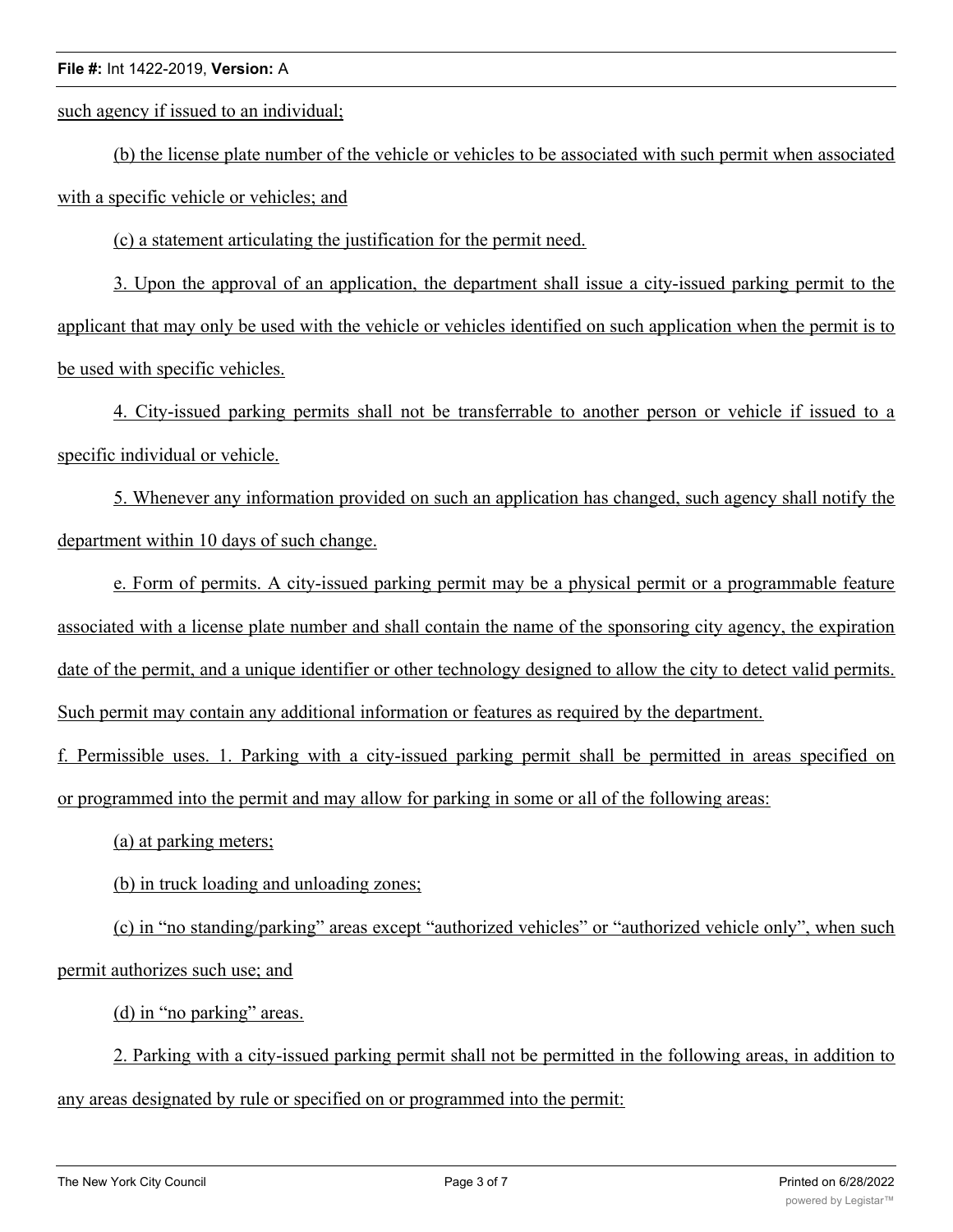## **File #:** Int 1422-2019, **Version:** A

such agency if issued to an individual;

(b) the license plate number of the vehicle or vehicles to be associated with such permit when associated with a specific vehicle or vehicles; and

(c) a statement articulating the justification for the permit need.

3. Upon the approval of an application, the department shall issue a city-issued parking permit to the applicant that may only be used with the vehicle or vehicles identified on such application when the permit is to be used with specific vehicles.

4. City-issued parking permits shall not be transferrable to another person or vehicle if issued to a specific individual or vehicle.

5. Whenever any information provided on such an application has changed, such agency shall notify the department within 10 days of such change.

e. Form of permits. A city-issued parking permit may be a physical permit or a programmable feature associated with a license plate number and shall contain the name of the sponsoring city agency, the expiration date of the permit, and a unique identifier or other technology designed to allow the city to detect valid permits. Such permit may contain any additional information or features as required by the department.

f. Permissible uses. 1. Parking with a city-issued parking permit shall be permitted in areas specified on or programmed into the permit and may allow for parking in some or all of the following areas:

(a) at parking meters;

(b) in truck loading and unloading zones;

(c) in "no standing/parking" areas except "authorized vehicles" or "authorized vehicle only", when such permit authorizes such use; and

(d) in "no parking" areas.

2. Parking with a city-issued parking permit shall not be permitted in the following areas, in addition to any areas designated by rule or specified on or programmed into the permit: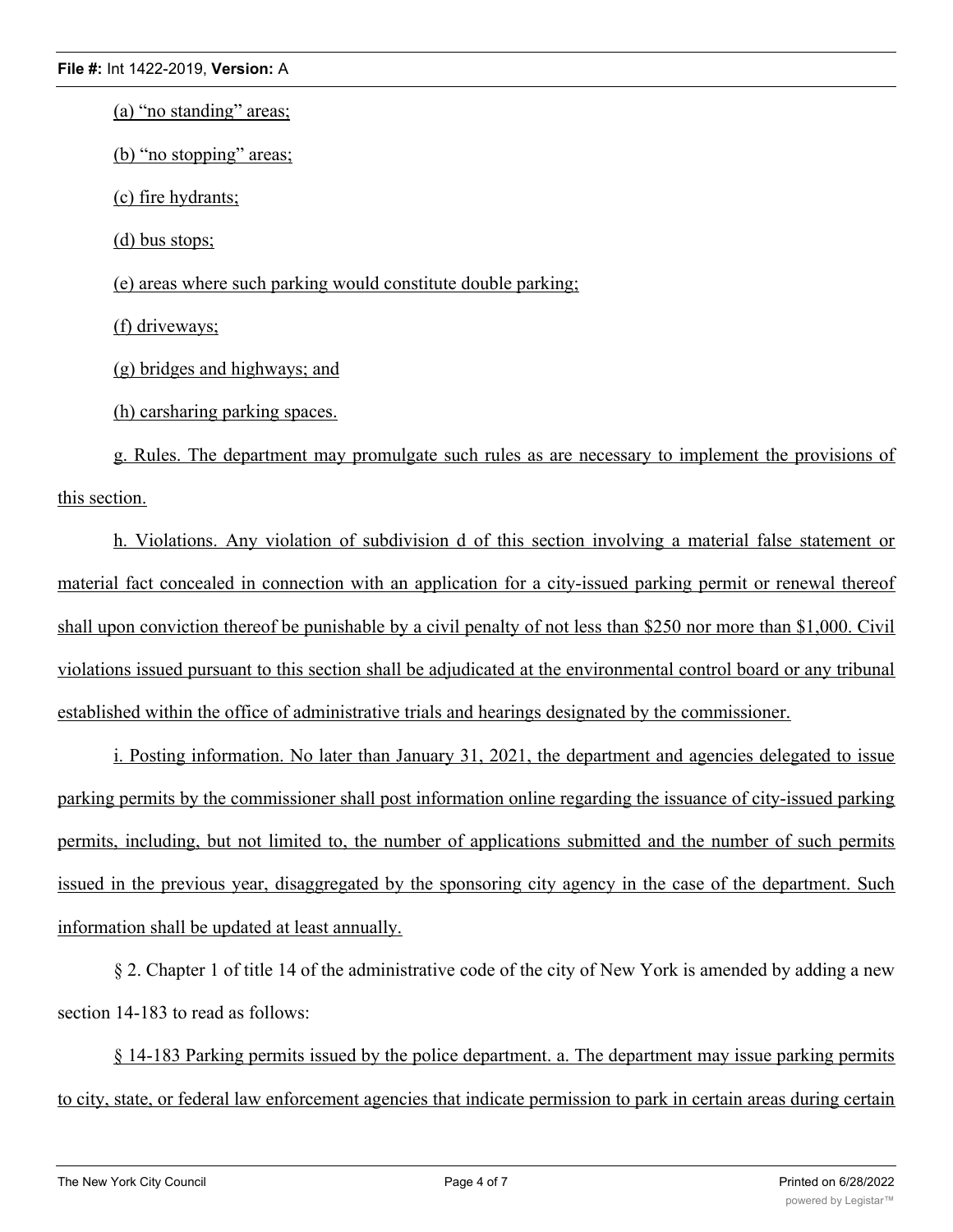(a) "no standing" areas;

(b) "no stopping" areas;

(c) fire hydrants;

(d) bus stops;

(e) areas where such parking would constitute double parking;

(f) driveways;

(g) bridges and highways; and

(h) carsharing parking spaces.

g. Rules. The department may promulgate such rules as are necessary to implement the provisions of this section.

h. Violations. Any violation of subdivision d of this section involving a material false statement or material fact concealed in connection with an application for a city-issued parking permit or renewal thereof shall upon conviction thereof be punishable by a civil penalty of not less than \$250 nor more than \$1,000. Civil violations issued pursuant to this section shall be adjudicated at the environmental control board or any tribunal established within the office of administrative trials and hearings designated by the commissioner.

i. Posting information. No later than January 31, 2021, the department and agencies delegated to issue parking permits by the commissioner shall post information online regarding the issuance of city-issued parking permits, including, but not limited to, the number of applications submitted and the number of such permits issued in the previous year, disaggregated by the sponsoring city agency in the case of the department. Such information shall be updated at least annually.

§ 2. Chapter 1 of title 14 of the administrative code of the city of New York is amended by adding a new section 14-183 to read as follows:

§ 14-183 Parking permits issued by the police department. a. The department may issue parking permits to city, state, or federal law enforcement agencies that indicate permission to park in certain areas during certain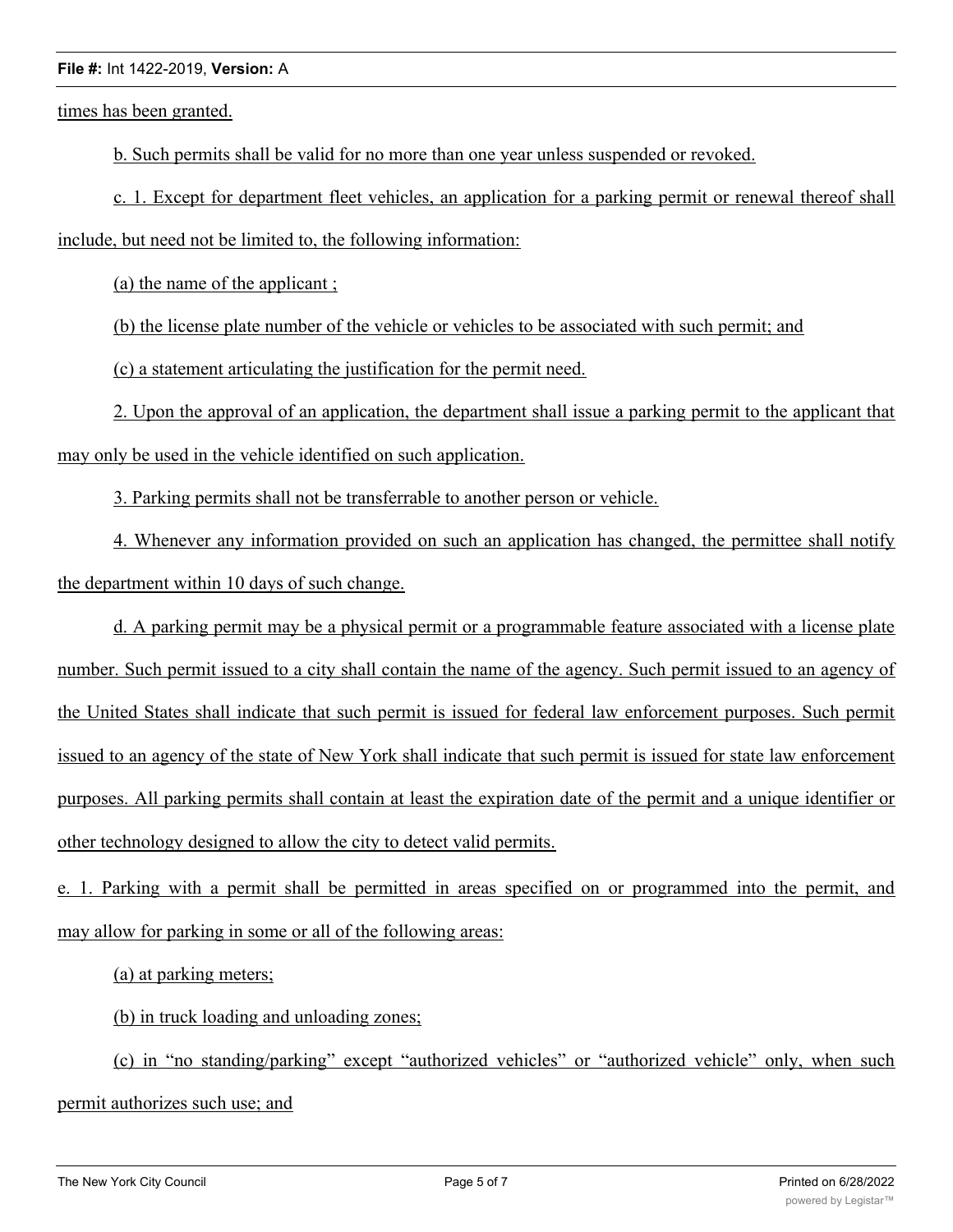## **File #:** Int 1422-2019, **Version:** A

times has been granted.

b. Such permits shall be valid for no more than one year unless suspended or revoked.

c. 1. Except for department fleet vehicles, an application for a parking permit or renewal thereof shall include, but need not be limited to, the following information:

(a) the name of the applicant ;

(b) the license plate number of the vehicle or vehicles to be associated with such permit; and

(c) a statement articulating the justification for the permit need.

2. Upon the approval of an application, the department shall issue a parking permit to the applicant that may only be used in the vehicle identified on such application.

3. Parking permits shall not be transferrable to another person or vehicle.

4. Whenever any information provided on such an application has changed, the permittee shall notify the department within 10 days of such change.

d. A parking permit may be a physical permit or a programmable feature associated with a license plate number. Such permit issued to a city shall contain the name of the agency. Such permit issued to an agency of the United States shall indicate that such permit is issued for federal law enforcement purposes. Such permit issued to an agency of the state of New York shall indicate that such permit is issued for state law enforcement purposes. All parking permits shall contain at least the expiration date of the permit and a unique identifier or other technology designed to allow the city to detect valid permits.

e. 1. Parking with a permit shall be permitted in areas specified on or programmed into the permit, and may allow for parking in some or all of the following areas:

(a) at parking meters;

(b) in truck loading and unloading zones;

(c) in "no standing/parking" except "authorized vehicles" or "authorized vehicle" only, when such permit authorizes such use; and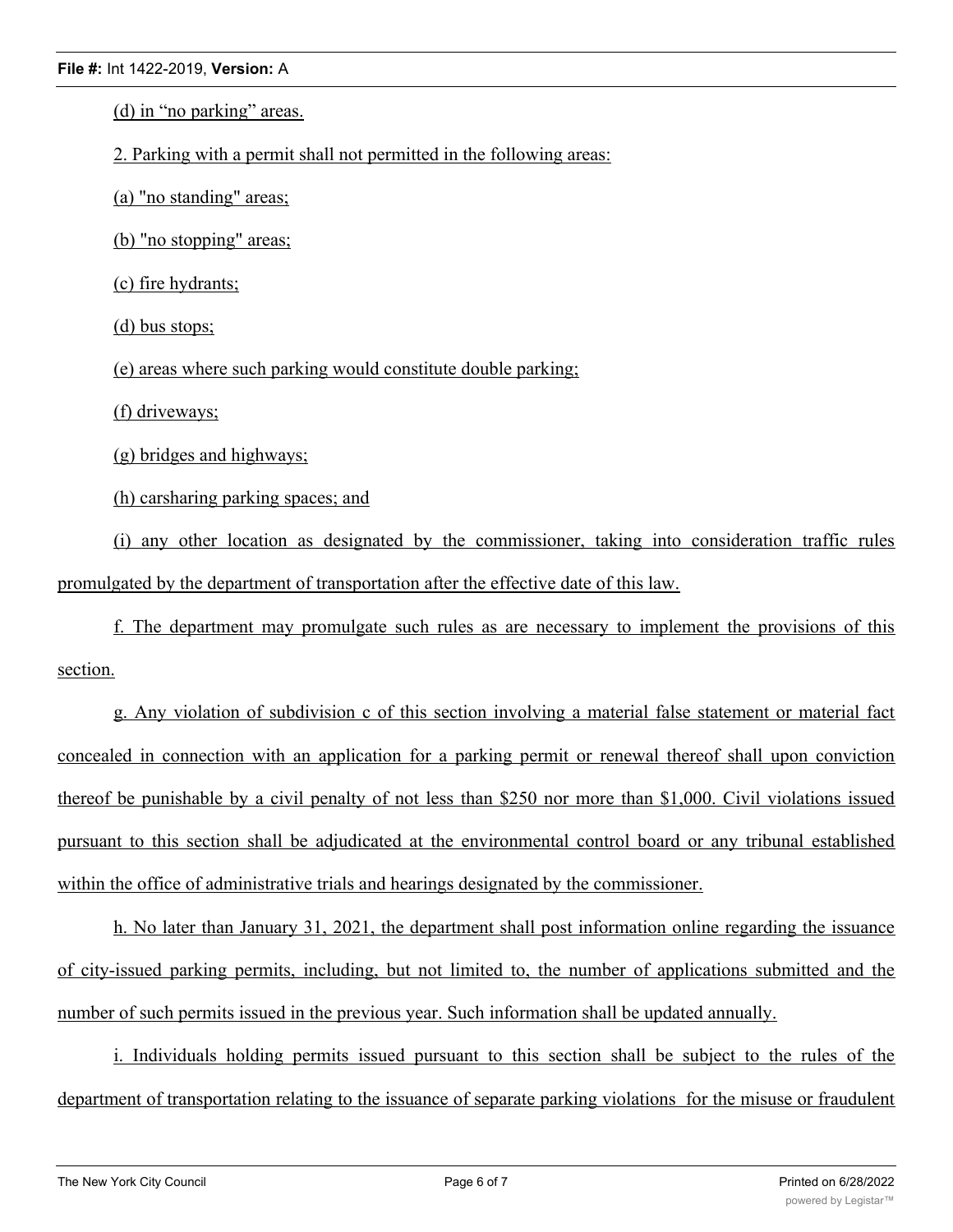(d) in "no parking" areas.

2. Parking with a permit shall not permitted in the following areas:

(a) "no standing" areas;

(b) "no stopping" areas;

(c) fire hydrants;

(d) bus stops;

(e) areas where such parking would constitute double parking;

(f) driveways;

(g) bridges and highways;

(h) carsharing parking spaces; and

(i) any other location as designated by the commissioner, taking into consideration traffic rules promulgated by the department of transportation after the effective date of this law.

f. The department may promulgate such rules as are necessary to implement the provisions of this section.

g. Any violation of subdivision c of this section involving a material false statement or material fact concealed in connection with an application for a parking permit or renewal thereof shall upon conviction thereof be punishable by a civil penalty of not less than \$250 nor more than \$1,000. Civil violations issued pursuant to this section shall be adjudicated at the environmental control board or any tribunal established within the office of administrative trials and hearings designated by the commissioner.

h. No later than January 31, 2021, the department shall post information online regarding the issuance of city-issued parking permits, including, but not limited to, the number of applications submitted and the number of such permits issued in the previous year. Such information shall be updated annually.

i. Individuals holding permits issued pursuant to this section shall be subject to the rules of the department of transportation relating to the issuance of separate parking violations for the misuse or fraudulent